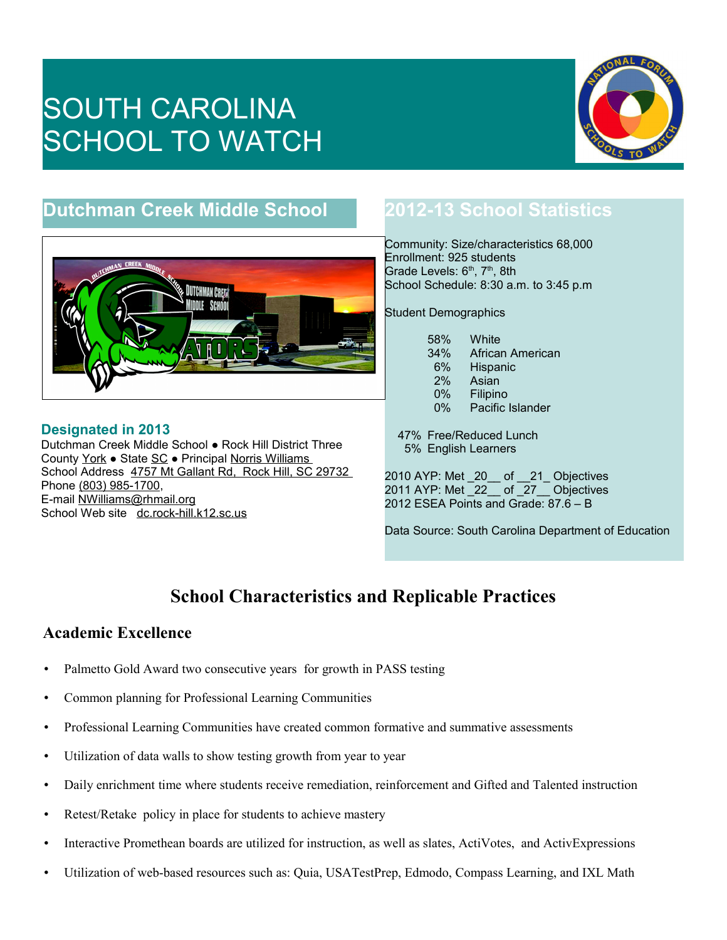# SOUTH CAROLINA SCHOOL TO WATCH



## **Dutchman Creek Middle School**



**Designated in 2013** Dutchman Creek Middle School ● Rock Hill District Three County York ● State SC ● Principal Norris Williams School Address 4757 Mt Gallant Rd, Rock Hill, SC 29732 Phone (803) 985-1700, E-mail NWilliams@rhmail.org School Web site dc.rock-hill.k12.sc.us

## **2012-13 School Statistics**

Community: Size/characteristics 68,000 Enrollment: 925 students Grade Levels:  $6<sup>th</sup>$ ,  $7<sup>th</sup>$ , 8th School Schedule: 8:30 a.m. to 3:45 p.m

Student Demographics

| 58%   | White            |
|-------|------------------|
| 34%   | African American |
| 6%    | Hispanic         |
| 2%    | Asian            |
| $0\%$ | Filipino         |
| $0\%$ | Pacific Islander |

 47% Free/Reduced Lunch 5% English Learners

2010 AYP: Met \_20\_\_ of \_\_21\_ Objectives 2011 AYP: Met \_22\_\_ of \_27\_\_ Objectives 2012 ESEA Points and Grade: 87.6 – B

Data Source: South Carolina Department of Education

## **School Characteristics and Replicable Practices**

#### **Academic Excellence**

- Palmetto Gold Award two consecutive years for growth in PASS testing
- Common planning for Professional Learning Communities
- Professional Learning Communities have created common formative and summative assessments
- Utilization of data walls to show testing growth from year to year
- Daily enrichment time where students receive remediation, reinforcement and Gifted and Talented instruction
- Retest/Retake policy in place for students to achieve mastery
- Interactive Promethean boards are utilized for instruction, as well as slates, ActiVotes, and ActivExpressions
- Utilization of web-based resources such as: Quia, USATestPrep, Edmodo, Compass Learning, and IXL Math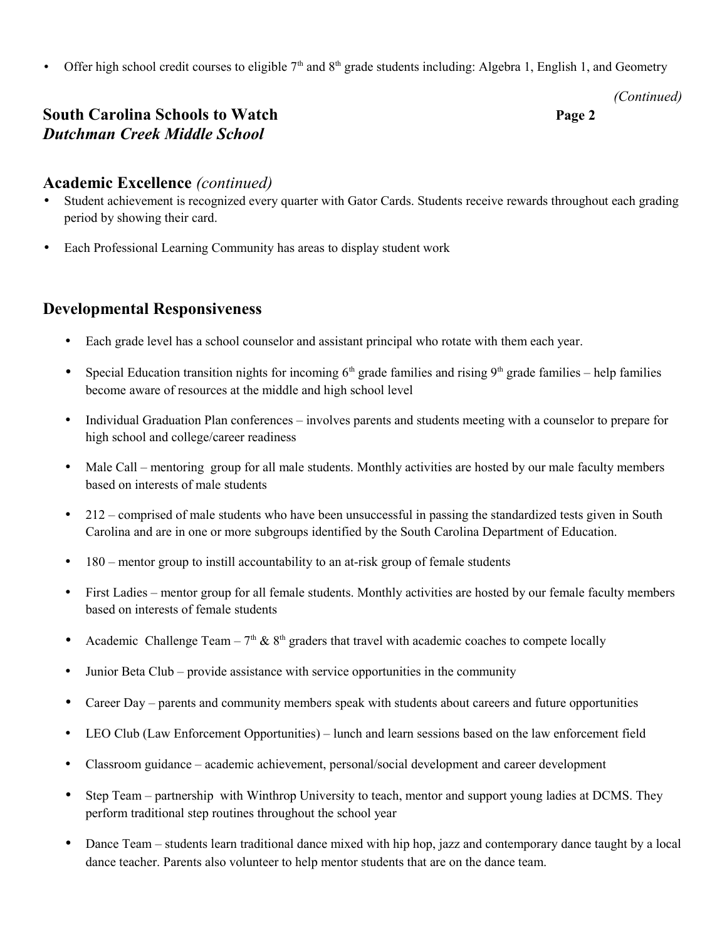• Offer high school credit courses to eligible  $7<sup>th</sup>$  and  $8<sup>th</sup>$  grade students including: Algebra 1, English 1, and Geometry

*(Continued)*

#### **South Carolina Schools to Watch Page 2** *Dutchman Creek Middle School*

# **Academic Excellence** *(continued)*

- Student achievement is recognized every quarter with Gator Cards. Students receive rewards throughout each grading period by showing their card.
- Each Professional Learning Community has areas to display student work

#### **Developmental Responsiveness**

- Each grade level has a school counselor and assistant principal who rotate with them each year.
- Special Education transition nights for incoming  $6<sup>th</sup>$  grade families and rising  $9<sup>th</sup>$  grade families help families become aware of resources at the middle and high school level
- Individual Graduation Plan conferences involves parents and students meeting with a counselor to prepare for high school and college/career readiness
- Male Call mentoring group for all male students. Monthly activities are hosted by our male faculty members based on interests of male students
- 212 comprised of male students who have been unsuccessful in passing the standardized tests given in South Carolina and are in one or more subgroups identified by the South Carolina Department of Education.
- 180 mentor group to instill accountability to an at-risk group of female students
- First Ladies mentor group for all female students. Monthly activities are hosted by our female faculty members based on interests of female students
- Academic Challenge Team  $7<sup>th</sup>$  &  $8<sup>th</sup>$  graders that travel with academic coaches to compete locally
- Junior Beta Club provide assistance with service opportunities in the community
- Career Day parents and community members speak with students about careers and future opportunities
- LEO Club (Law Enforcement Opportunities) lunch and learn sessions based on the law enforcement field
- Classroom guidance academic achievement, personal/social development and career development
- Step Team partnership with Winthrop University to teach, mentor and support young ladies at DCMS. They perform traditional step routines throughout the school year
- Dance Team students learn traditional dance mixed with hip hop, jazz and contemporary dance taught by a local dance teacher. Parents also volunteer to help mentor students that are on the dance team.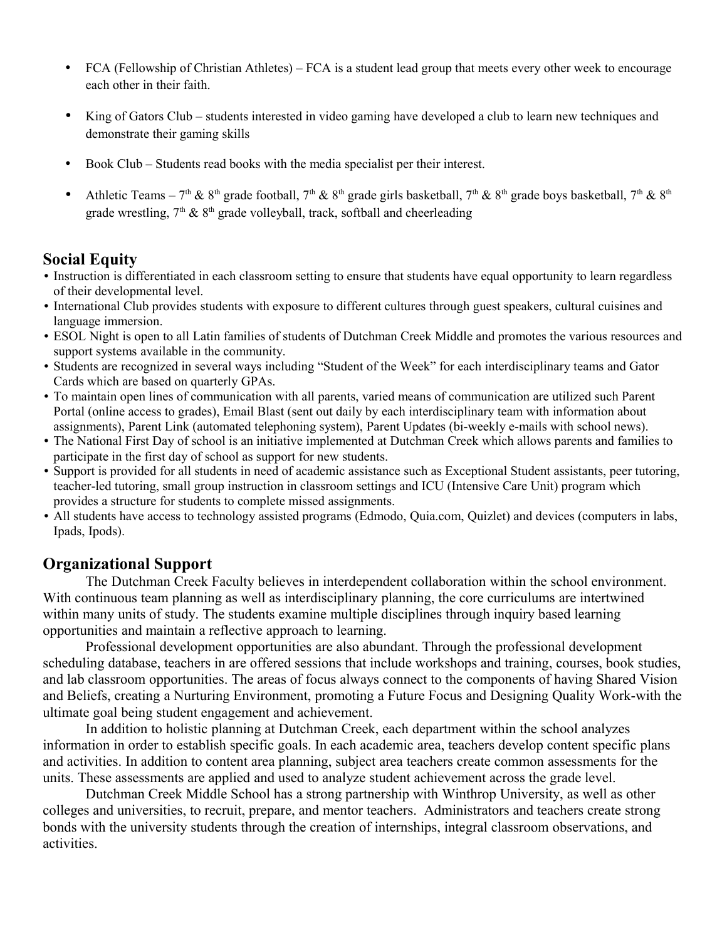- FCA (Fellowship of Christian Athletes) FCA is a student lead group that meets every other week to encourage each other in their faith.
- King of Gators Club students interested in video gaming have developed a club to learn new techniques and demonstrate their gaming skills
- Book Club Students read books with the media specialist per their interest.
- Athletic Teams 7<sup>th</sup> & 8<sup>th</sup> grade football, 7<sup>th</sup> & 8<sup>th</sup> grade girls basketball, 7<sup>th</sup> & 8<sup>th</sup> grade boys basketball, 7<sup>th</sup> & 8<sup>th</sup> grade wrestling,  $7<sup>th</sup>$  &  $8<sup>th</sup>$  grade volleyball, track, softball and cheerleading

#### **Social Equity**

- Instruction is differentiated in each classroom setting to ensure that students have equal opportunity to learn regardless of their developmental level.
- International Club provides students with exposure to different cultures through guest speakers, cultural cuisines and language immersion.
- ESOL Night is open to all Latin families of students of Dutchman Creek Middle and promotes the various resources and support systems available in the community.
- Students are recognized in several ways including "Student of the Week" for each interdisciplinary teams and Gator Cards which are based on quarterly GPAs.
- To maintain open lines of communication with all parents, varied means of communication are utilized such Parent Portal (online access to grades), Email Blast (sent out daily by each interdisciplinary team with information about assignments), Parent Link (automated telephoning system), Parent Updates (bi-weekly e-mails with school news).
- The National First Day of school is an initiative implemented at Dutchman Creek which allows parents and families to participate in the first day of school as support for new students.
- Support is provided for all students in need of academic assistance such as Exceptional Student assistants, peer tutoring, teacher-led tutoring, small group instruction in classroom settings and ICU (Intensive Care Unit) program which provides a structure for students to complete missed assignments.
- All students have access to technology assisted programs (Edmodo, Quia.com, Quizlet) and devices (computers in labs, Ipads, Ipods).

#### **Organizational Support**

The Dutchman Creek Faculty believes in interdependent collaboration within the school environment. With continuous team planning as well as interdisciplinary planning, the core curriculums are intertwined within many units of study. The students examine multiple disciplines through inquiry based learning opportunities and maintain a reflective approach to learning.

Professional development opportunities are also abundant. Through the professional development scheduling database, teachers in are offered sessions that include workshops and training, courses, book studies, and lab classroom opportunities. The areas of focus always connect to the components of having Shared Vision and Beliefs, creating a Nurturing Environment, promoting a Future Focus and Designing Quality Work-with the ultimate goal being student engagement and achievement.

In addition to holistic planning at Dutchman Creek, each department within the school analyzes information in order to establish specific goals. In each academic area, teachers develop content specific plans and activities. In addition to content area planning, subject area teachers create common assessments for the units. These assessments are applied and used to analyze student achievement across the grade level.

Dutchman Creek Middle School has a strong partnership with Winthrop University, as well as other colleges and universities, to recruit, prepare, and mentor teachers. Administrators and teachers create strong bonds with the university students through the creation of internships, integral classroom observations, and activities.